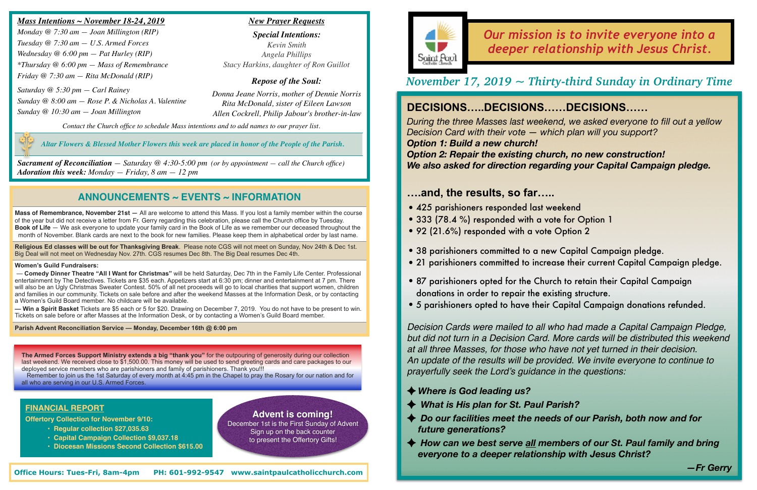## **ANNOUNCEMENTS ~ EVENTS ~ INFORMATION**

**Mass of Remembrance, November 21st —** All are welcome to attend this Mass. If you lost a family member within the course of the year but did not receive a letter from Fr. Gerry regarding this celebration, please call the Church office by Tuesday. **Book of Life** — We ask everyone to update your family card in the Book of Life as we remember our deceased throughout the month of November. Blank cards are next to the book for new families. Please keep them in alphabetical order by last name.

**Religious Ed classes will be out for Thanksgiving Break**. Please note CGS will not meet on Sunday, Nov 24th & Dec 1st. Big Deal will not meet on Wednesday Nov. 27th. CGS resumes Dec 8th. The Big Deal resumes Dec 4th.

#### **Women's Guild Fundraisers:**

#### *https://youtu.be/xiapS5ehQ5s Mass Intentions ~ November 18-24, 2019*

 — **Comedy Dinner Theatre "All I Want for Christmas"** will be held Saturday, Dec 7th in the Family Life Center. Professional entertainment by The Detectives. Tickets are \$35 each. Appetizers start at 6:30 pm; dinner and entertainment at 7 pm. There will also be an Ugly Christmas Sweater Contest. 50% of all net proceeds will go to local charities that support women, children and families in our community. Tickets on sale before and after the weekend Masses at the Information Desk, or by contacting a Women's Guild Board member. No childcare will be available.

**— Win a Spirit Basket** Tickets are \$5 each or 5 for \$20. Drawing on December 7, 2019. You do not have to be present to win. Tickets on sale before or after Masses at the Information Desk, or by contacting a Women's Guild Board member.

#### **Parish Advent Reconciliation Service — Monday, December 16th @ 6:00 pm**

# *Our mission is to invite everyone into a deeper relationship with Jesus Christ.*

*Monday @ 7:30 am — Joan Millington (RIP) Tuesday @ 7:30 am — U.S. Armed Forces Wednesday @ 6:00 pm — Pat Hurley (RIP) \*Thursday @ 6:00 pm — Mass of Remembrance Friday @ 7:30 am — Rita McDonald (RIP)*

*Saturday @ 5:30 pm — Carl Rainey Sunday @ 8:00 am — Rose P. & Nicholas A. Valentine Sunday @ 10:30 am — Joan Millington*

*Contact the Church office to schedule Mass intentions and to add names to our prayer list.*

*Sacrament of Reconciliation — Saturday @ 4:30-5:00 pm (or by appointment — call the Church office) Adoration this week: Monday — Friday, 8 am — 12 pm*

### *New Prayer Requests*

*Special Intentions: Kevin Smith Angela Phillips Stacy Harkins, daughter of Ron Guillot*

### *Repose of the Soul:*

*Donna Jeane Norris, mother of Dennie Norris Rita McDonald, sister of Eileen Lawson Allen Cockrell, Philip Jabour's brother-in-law*

# *November 17, 2019 ~ Thirty-third Sunday in Ordinary Time*

### **FINANCIAL REPORT**

**Offertory Collection for November 9/10:** 

- **Regular collection \$27,035.63**
- **Capital Campaign Collection \$9,037.18**
- **Diocesan Missions Second Collection \$615.00**

 *Altar Flowers & Blessed Mother Flowers this week are placed in honor of the People of the Parish.*

# **DECISIONS…..DECISIONS……DECISIONS……**

*During the three Masses last weekend, we asked everyone to fill out a yellow Decision Card with their vote — which plan will you support? Option 1: Build a new church! Option 2: Repair the existing church, no new construction! We also asked for direction regarding your Capital Campaign pledge.* 

## **….and, the results, so far…..**

•21 parishioners committed to increase their current Capital Campaign pledge.

- •425 parishioners responded last weekend
- •333 (78.4 %) responded with a vote for Option 1
- •92 (21.6%) responded with a vote Option 2
- •38 parishioners committed to a new Capital Campaign pledge.
- 
- •87 parishioners opted for the Church to retain their Capital Campaign donations in order to repair the existing structure.
- •5 parishioners opted to have their Capital Campaign donations refunded.

◆ How can we best serve all members of our St. Paul family and bring

*Decision Cards were mailed to all who had made a Capital Campaign Pledge, but did not turn in a Decision Card. More cards will be distributed this weekend at all three Masses, for those who have not yet turned in their decision. An update of the results will be provided. We invite everyone to continue to prayerfully seek the Lord's guidance in the questions:*

- *Where is God leading us?*
- *What is His plan for St. Paul Parish?*
- ◆ Do our facilities meet the needs of our Parish, both now and for *future generations?*
- *everyone to a deeper relationship with Jesus Christ?*



**The Armed Forces Support Ministry extends a big "thank you"** for the outpouring of generosity during our collection last weekend. We received close to \$1,500.00. This money will be used to send greeting cards and care packages to our deployed service members who are parishioners and family of parishioners. Thank you!!!

 Remember to join us the 1st Saturday of every month at 4:45 pm in the Chapel to pray the Rosary for our nation and for all who are serving in our U.S. Armed Forces.

**Advent is coming!**

December 1st is the First Sunday of Advent Sign up on the back counter to present the Offertory Gifts!